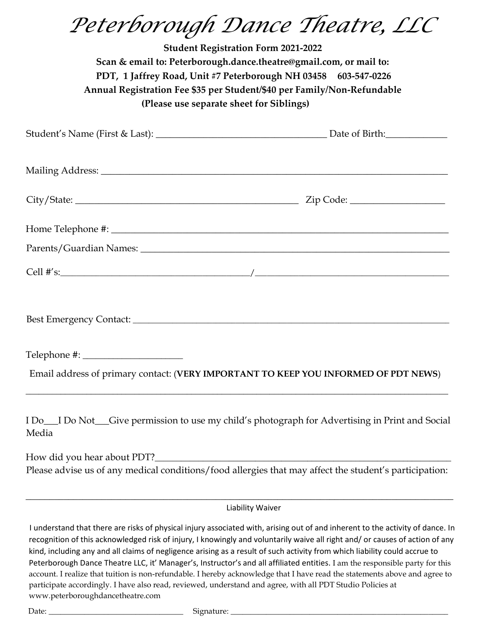*Peterborough Dance Theatre, LLC* 

| <b>Student Registration Form 2021-2022</b><br>Scan & email to: Peterborough.dance.theatre@gmail.com, or mail to:<br>PDT, 1 Jaffrey Road, Unit #7 Peterborough NH 03458 603-547-0226<br>Annual Registration Fee \$35 per Student/\$40 per Family/Non-Refundable<br>(Please use separate sheet for Siblings) |                                                                                                                                                                                                                                                                |  |
|------------------------------------------------------------------------------------------------------------------------------------------------------------------------------------------------------------------------------------------------------------------------------------------------------------|----------------------------------------------------------------------------------------------------------------------------------------------------------------------------------------------------------------------------------------------------------------|--|
|                                                                                                                                                                                                                                                                                                            |                                                                                                                                                                                                                                                                |  |
|                                                                                                                                                                                                                                                                                                            |                                                                                                                                                                                                                                                                |  |
|                                                                                                                                                                                                                                                                                                            |                                                                                                                                                                                                                                                                |  |
|                                                                                                                                                                                                                                                                                                            |                                                                                                                                                                                                                                                                |  |
|                                                                                                                                                                                                                                                                                                            |                                                                                                                                                                                                                                                                |  |
|                                                                                                                                                                                                                                                                                                            |                                                                                                                                                                                                                                                                |  |
|                                                                                                                                                                                                                                                                                                            |                                                                                                                                                                                                                                                                |  |
|                                                                                                                                                                                                                                                                                                            |                                                                                                                                                                                                                                                                |  |
|                                                                                                                                                                                                                                                                                                            | Email address of primary contact: (VERY IMPORTANT TO KEEP YOU INFORMED OF PDT NEWS)                                                                                                                                                                            |  |
| Media                                                                                                                                                                                                                                                                                                      | I Do_I Do Not_Give permission to use my child's photograph for Advertising in Print and Social                                                                                                                                                                 |  |
| How did you hear about PDT?                                                                                                                                                                                                                                                                                |                                                                                                                                                                                                                                                                |  |
|                                                                                                                                                                                                                                                                                                            | Please advise us of any medical conditions/food allergies that may affect the student's participation:                                                                                                                                                         |  |
|                                                                                                                                                                                                                                                                                                            | Liability Waiver                                                                                                                                                                                                                                               |  |
|                                                                                                                                                                                                                                                                                                            | I understand that there are risks of physical injury associated with, arising out of and inherent to the activity of dance. In<br>recognition of this acknowledged risk of injury, I knowingly and voluntarily waive all right and/ or causes of action of any |  |

kind, including any and all claims of negligence arising as a result of such activity from which liability could accrue to Peterborough Dance Theatre LLC, it' Manager's, Instructor's and all affiliated entities. I am the responsible party for this account. I realize that tuition is non-refundable. I hereby acknowledge that I have read the statements above and agree to participate accordingly. I have also read, reviewed, understand and agree, with all PDT Studio Policies at www.peterboroughdancetheatre.com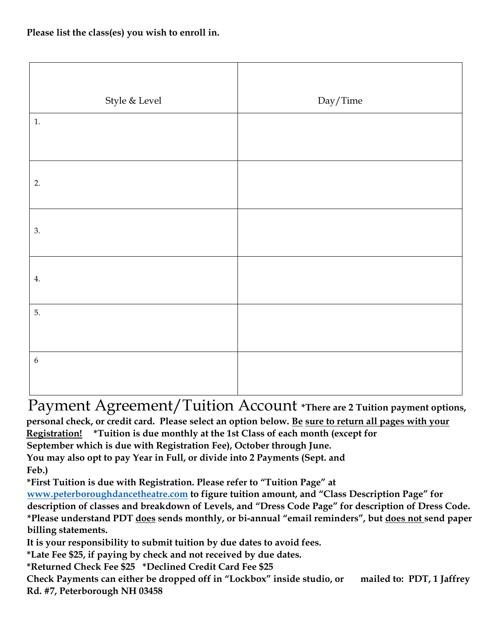| Style $\&$ Level | Day/Time |
|------------------|----------|
| 1.               |          |
|                  |          |
| 2.               |          |
| 3.               |          |
| 4.               |          |
| 5.               |          |
| $\boldsymbol{6}$ |          |

Payment Agreement/Tuition Account **\*There are 2 Tuition payment options, personal check, or credit card. Please select an option below. Be sure to return all pages with your Registration! \*Tuition is due monthly at the 1st Class of each month (except for September which is due with Registration Fee), October through June. You may also opt to pay Year in Full, or divide into 2 Payments (Sept. and Feb.) \*First Tuition is due with Registration. Please refer to "Tuition Page" at [www.peterboroughdancetheatre.com](http://www.peterboroughdancetheatre.com/) [to](http://www.peterboroughdancetheatre.com/) [f](http://www.peterboroughdancetheatre.com/)igure tuition amount, and "Class Description Page" for description of classes and breakdown of Levels, and "Dress Code Page" for description of Dress Code. \*Please understand PDT does sends monthly, or bi-annual "email reminders", but does not send paper** 

**billing statements.** 

**It is your responsibility to submit tuition by due dates to avoid fees.** 

**\*Late Fee \$25, if paying by check and not received by due dates.** 

**\*Returned Check Fee \$25 \*Declined Credit Card Fee \$25** 

**Check Payments can either be dropped off in "Lockbox" inside studio, or mailed to: PDT, 1 Jaffrey Rd. #7, Peterborough NH 03458**